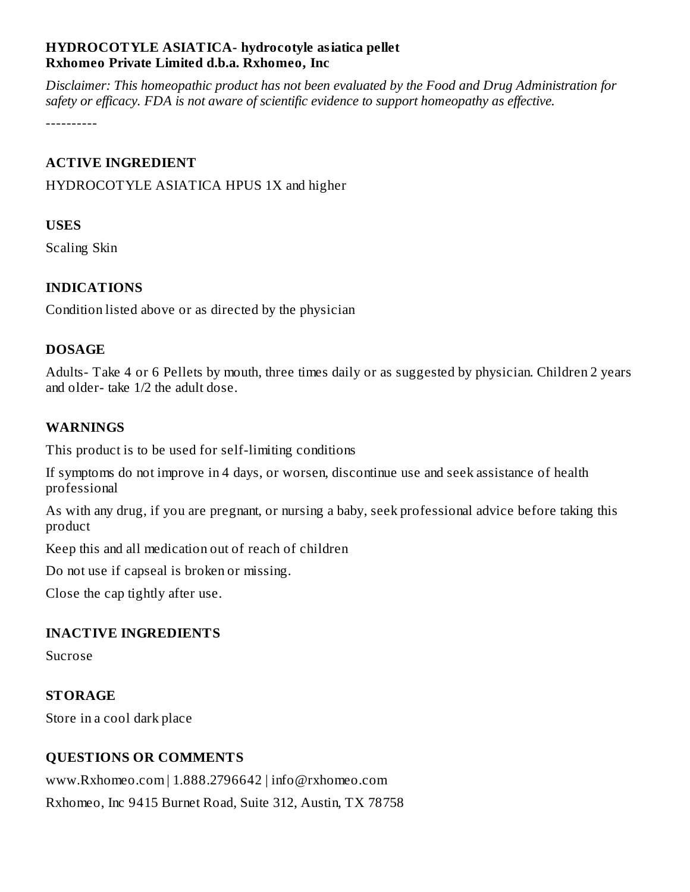### **HYDROCOTYLE ASIATICA- hydrocotyle asiatica pellet Rxhomeo Private Limited d.b.a. Rxhomeo, Inc**

*Disclaimer: This homeopathic product has not been evaluated by the Food and Drug Administration for safety or efficacy. FDA is not aware of scientific evidence to support homeopathy as effective.*

----------

### **ACTIVE INGREDIENT**

HYDROCOTYLE ASIATICA HPUS 1X and higher

### **USES**

Scaling Skin

## **INDICATIONS**

Condition listed above or as directed by the physician

### **DOSAGE**

Adults- Take 4 or 6 Pellets by mouth, three times daily or as suggested by physician. Children 2 years and older- take 1/2 the adult dose.

## **WARNINGS**

This product is to be used for self-limiting conditions

If symptoms do not improve in 4 days, or worsen, discontinue use and seek assistance of health professional

As with any drug, if you are pregnant, or nursing a baby, seek professional advice before taking this product

Keep this and all medication out of reach of children

Do not use if capseal is broken or missing.

Close the cap tightly after use.

### **INACTIVE INGREDIENTS**

Sucrose

### **STORAGE**

Store in a cool dark place

# **QUESTIONS OR COMMENTS**

www.Rxhomeo.com | 1.888.2796642 | info@rxhomeo.com Rxhomeo, Inc 9415 Burnet Road, Suite 312, Austin, TX 78758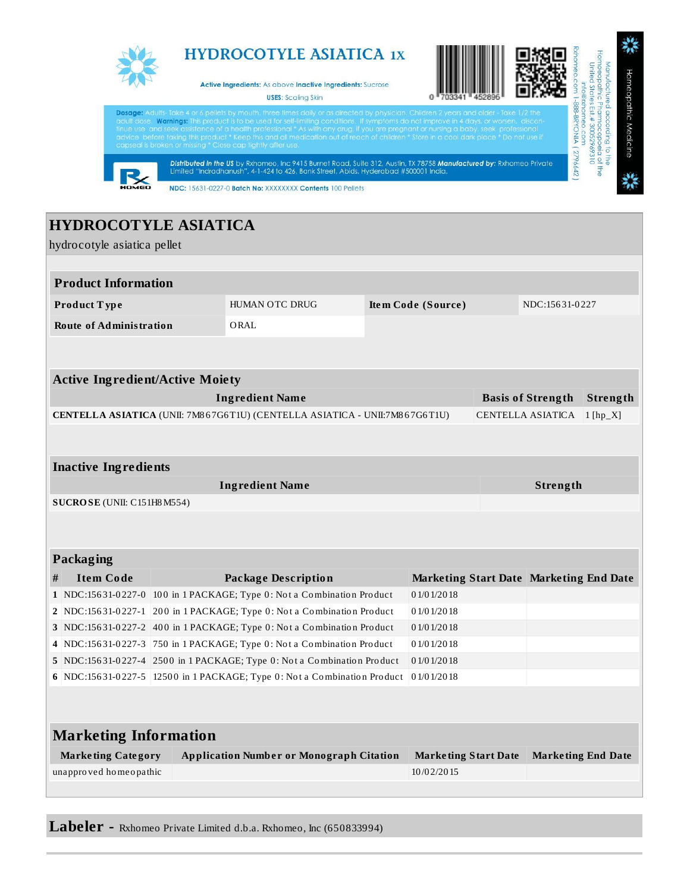

**Labeler -** Rxhomeo Private Limited d.b.a. Rxhomeo, Inc (650833994)